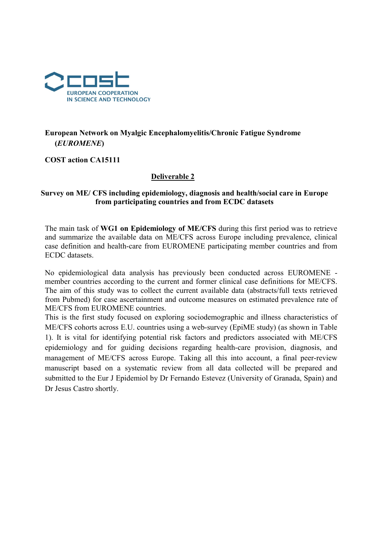

# European Network on Myalgic Encephalomyelitis/Chronic Fatigue Syndrome (EUROMENE)

COST action CA15111

### Deliverable 2

#### Survey on ME/ CFS including epidemiology, diagnosis and health/social care in Europe from participating countries and from ECDC datasets

The main task of WG1 on Epidemiology of ME/CFS during this first period was to retrieve and summarize the available data on ME/CFS across Europe including prevalence, clinical case definition and health-care from EUROMENE participating member countries and from ECDC datasets.

No epidemiological data analysis has previously been conducted across EUROMENE member countries according to the current and former clinical case definitions for ME/CFS. The aim of this study was to collect the current available data (abstracts/full texts retrieved from Pubmed) for case ascertainment and outcome measures on estimated prevalence rate of ME/CFS from EUROMENE countries.

This is the first study focused on exploring sociodemographic and illness characteristics of ME/CFS cohorts across E.U. countries using a web-survey (EpiME study) (as shown in Table 1). It is vital for identifying potential risk factors and predictors associated with ME/CFS epidemiology and for guiding decisions regarding health-care provision, diagnosis, and management of ME/CFS across Europe. Taking all this into account, a final peer-review manuscript based on a systematic review from all data collected will be prepared and submitted to the Eur J Epidemiol by Dr Fernando Estevez (University of Granada, Spain) and Dr Jesus Castro shortly.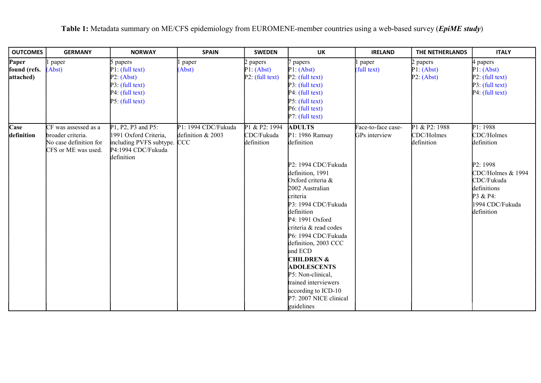| <b>OUTCOMES</b>                    | <b>GERMANY</b>                                                                             | <b>NORWAY</b>                                                                                                  | <b>SPAIN</b>                             | <b>SWEDEN</b>                             | <b>UK</b>                                                                                                                                                                                                                                                                                                                                                                                                                                           | <b>IRELAND</b>                      | THE NETHERLANDS                           | <b>ITALY</b>                                                                                                                                    |
|------------------------------------|--------------------------------------------------------------------------------------------|----------------------------------------------------------------------------------------------------------------|------------------------------------------|-------------------------------------------|-----------------------------------------------------------------------------------------------------------------------------------------------------------------------------------------------------------------------------------------------------------------------------------------------------------------------------------------------------------------------------------------------------------------------------------------------------|-------------------------------------|-------------------------------------------|-------------------------------------------------------------------------------------------------------------------------------------------------|
| Paper<br>found (refs.<br>attached) | paper<br>(Abst)                                                                            | papers<br>P1: (full text)<br>P2: (Abst)<br>P3: (full text)<br>P4: (full text)<br>P5: (full text)               | paper<br>(Abst)                          | papers<br>P1: (Abst)<br>P2: (full text)   | papers<br>P1: (Abst)<br>P2: (full text)<br>P3: (full text)<br>P4: (full text)<br>P5: (full text)<br>P6: (full text)<br>P7: (full text)                                                                                                                                                                                                                                                                                                              | paper<br>(full text)                | 2 papers<br>P1: (Abst)<br>P2: (Abst)      | l papers<br>P1: (Abst)<br>P2: (full text)<br>P3: (full text)<br>P4: (full text)                                                                 |
| Case<br>definition                 | CF was assessed as a<br>broader criteria.<br>No case definition for<br>CFS or ME was used. | P1, P2, P3 and P5:<br>1991 Oxford Criteria,<br>including PVFS subtype. CCC<br>P4:1994 CDC/Fukuda<br>definition | P1: 1994 CDC/Fukuda<br>definition & 2003 | P1 & P2: 1994<br>CDC/Fukuda<br>definition | <b>ADULTS</b><br>P1: 1986 Ramsay<br>definition<br>P2: 1994 CDC/Fukuda<br>definition, 1991<br>Oxford criteria &<br>2002 Australian<br>criteria<br>P3: 1994 CDC/Fukuda<br>definition<br>P4: 1991 Oxford<br>criteria & read codes<br>P6: 1994 CDC/Fukuda<br>definition, 2003 CCC<br>and ECD<br><b>CHILDREN &amp;</b><br><b>ADOLESCENTS</b><br>P5: Non-clinical,<br>trained interviewers<br>according to ICD-10<br>P7: 2007 NICE clinical<br>guidelines | Face-to-face case-<br>GPs interview | P1 & P2: 1988<br>CDC/Holmes<br>definition | P1: 1988<br>CDC/Holmes<br>definition<br>P2: 1998<br>CDC/Holmes & 1994<br>CDC/Fukuda<br>definitions<br>P3 & P4:<br>1994 CDC/Fukuda<br>definition |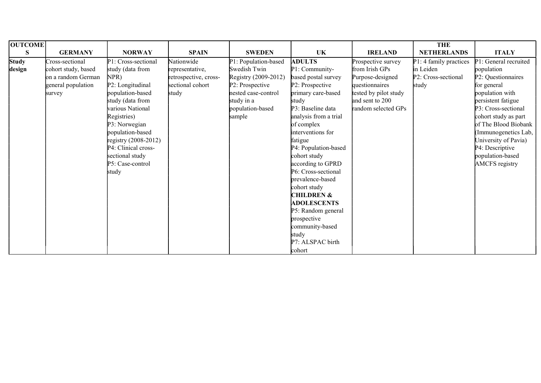| <b>OUTCOME</b> |                     |                        |                       |                      |                       |                       | <b>THE</b>             |                       |
|----------------|---------------------|------------------------|-----------------------|----------------------|-----------------------|-----------------------|------------------------|-----------------------|
| S              | <b>GERMANY</b>      | <b>NORWAY</b>          | <b>SPAIN</b>          | <b>SWEDEN</b>        | UK                    | <b>IRELAND</b>        | <b>NETHERLANDS</b>     | <b>ITALY</b>          |
| <b>Study</b>   | Cross-sectional     | P1: Cross-sectional    | Nationwide            | P1: Population-based | <b>ADULTS</b>         | Prospective survey    | P1: 4 family practices | P1: General recruited |
| design         | cohort study, based | study (data from       | representative,       | Swedish Twin         | P1: Community-        | from Irish GPs        | in Leiden              | population            |
|                | on a random German  | NPR)                   | retrospective, cross- | Registry (2009-2012) | based postal survey   | Purpose-designed      | P2: Cross-sectional    | P2: Questionnaires    |
|                | general population  | P2: Longitudinal       | sectional cohort      | P2: Prospective      | P2: Prospective       | questionnaires        | study                  | for general           |
|                | survey              | population-based       | study                 | nested case-control  | primary care-based    | tested by pilot study |                        | population with       |
|                |                     | study (data from       |                       | study in a           | study                 | and sent to 200       |                        | persistent fatigue    |
|                |                     | various National       |                       | population-based     | P3: Baseline data     | random selected GPs   |                        | P3: Cross-sectional   |
|                |                     | Registries)            |                       | sample               | analysis from a trial |                       |                        | cohort study as part  |
|                |                     | P3: Norwegian          |                       |                      | of complex            |                       |                        | of The Blood Biobank  |
|                |                     | population-based       |                       |                      | interventions for     |                       |                        | (Immunogenetics Lab,  |
|                |                     | registry $(2008-2012)$ |                       |                      | fatigue               |                       |                        | University of Pavia)  |
|                |                     | P4: Clinical cross-    |                       |                      | P4: Population-based  |                       |                        | P4: Descriptive       |
|                |                     | sectional study        |                       |                      | cohort study          |                       |                        | population-based      |
|                |                     | P5: Case-control       |                       |                      | according to GPRD     |                       |                        | AMCFS registry        |
|                |                     | study                  |                       |                      | P6: Cross-sectional   |                       |                        |                       |
|                |                     |                        |                       |                      | prevalence-based      |                       |                        |                       |
|                |                     |                        |                       |                      | cohort study          |                       |                        |                       |
|                |                     |                        |                       |                      | <b>CHILDREN &amp;</b> |                       |                        |                       |
|                |                     |                        |                       |                      | <b>ADOLESCENTS</b>    |                       |                        |                       |
|                |                     |                        |                       |                      | P5: Random general    |                       |                        |                       |
|                |                     |                        |                       |                      | prospective           |                       |                        |                       |
|                |                     |                        |                       |                      | community-based       |                       |                        |                       |
|                |                     |                        |                       |                      | study                 |                       |                        |                       |
|                |                     |                        |                       |                      | P7: ALSPAC birth      |                       |                        |                       |
|                |                     |                        |                       |                      | cohort                |                       |                        |                       |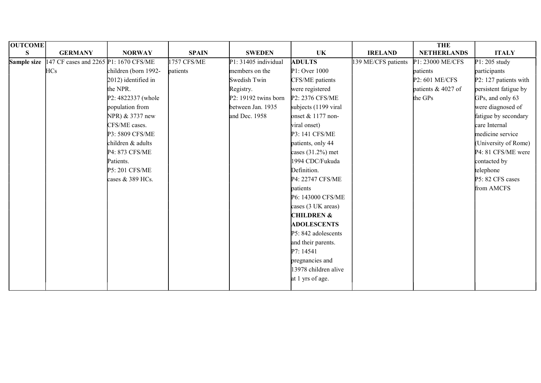| <b>OUTCOME</b> |                                       |                      |              |                      |                       |                    | <b>THE</b>         |                       |
|----------------|---------------------------------------|----------------------|--------------|----------------------|-----------------------|--------------------|--------------------|-----------------------|
| S.             | <b>GERMANY</b>                        | <b>NORWAY</b>        | <b>SPAIN</b> | <b>SWEDEN</b>        | <b>UK</b>             | <b>IRELAND</b>     | <b>NETHERLANDS</b> | <b>ITALY</b>          |
| Sample size    | 147 CF cases and 2265 P1: 1670 CFS/ME |                      | 1757 CFS/ME  | P1: 31405 individual | <b>ADULTS</b>         | 39 ME/CFS patients | P1: 23000 ME/CFS   | $P1: 205$ study       |
|                | <b>HCs</b>                            | children (born 1992- | patients     | members on the       | P1: Over 1000         |                    | patients           | participants          |
|                |                                       | 2012) identified in  |              | Swedish Twin         | CFS/ME patients       |                    | P2: 601 ME/CFS     | P2: 127 patients with |
|                |                                       | the NPR.             |              | Registry.            | were registered       |                    | patients & 4027 of | persistent fatigue by |
|                |                                       | P2: 4822337 (whole   |              | P2: 19192 twins born | P2: 2376 CFS/ME       |                    | the GPs            | GPs, and only 63      |
|                |                                       | population from      |              | between Jan. 1935    | subjects (1199 viral  |                    |                    | were diagnosed of     |
|                |                                       | NPR) & 3737 new      |              | and Dec. 1958        | onset $& 1177$ non-   |                    |                    | fatigue by secondary  |
|                |                                       | CFS/ME cases.        |              |                      | viral onset)          |                    |                    | care Internal         |
|                |                                       | P3: 5809 CFS/ME      |              |                      | P3: 141 CFS/ME        |                    |                    | medicine service      |
|                |                                       | children & adults    |              |                      | patients, only 44     |                    |                    | (University of Rome)  |
|                |                                       | P4: 873 CFS/ME       |              |                      | cases $(31.2%)$ met   |                    |                    | P4: 81 CFS/ME were    |
|                |                                       | Patients.            |              |                      | 1994 CDC/Fukuda       |                    |                    | contacted by          |
|                |                                       | P5: 201 CFS/ME       |              |                      | Definition.           |                    |                    | telephone             |
|                |                                       | cases & 389 HCs.     |              |                      | P4: 22747 CFS/ME      |                    |                    | P5: 82 CFS cases      |
|                |                                       |                      |              |                      | patients              |                    |                    | from AMCFS            |
|                |                                       |                      |              |                      | P6: 143000 CFS/ME     |                    |                    |                       |
|                |                                       |                      |              |                      | cases (3 UK areas)    |                    |                    |                       |
|                |                                       |                      |              |                      | <b>CHILDREN &amp;</b> |                    |                    |                       |
|                |                                       |                      |              |                      | <b>ADOLESCENTS</b>    |                    |                    |                       |
|                |                                       |                      |              |                      | P5: 842 adolescents   |                    |                    |                       |
|                |                                       |                      |              |                      | and their parents.    |                    |                    |                       |
|                |                                       |                      |              |                      | P7: 14541             |                    |                    |                       |
|                |                                       |                      |              |                      | pregnancies and       |                    |                    |                       |
|                |                                       |                      |              |                      | 13978 children alive  |                    |                    |                       |
|                |                                       |                      |              |                      | at 1 yrs of age.      |                    |                    |                       |
|                |                                       |                      |              |                      |                       |                    |                    |                       |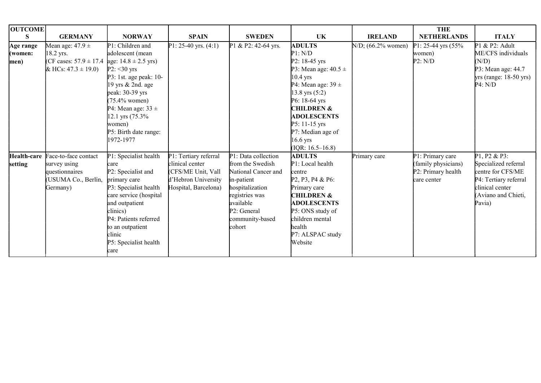| <b>OUTCOME</b> |                                                     |                        |                        |                     |                                                                     |                       | <b>THE</b>          |                          |
|----------------|-----------------------------------------------------|------------------------|------------------------|---------------------|---------------------------------------------------------------------|-----------------------|---------------------|--------------------------|
| S              | <b>GERMANY</b>                                      | <b>NORWAY</b>          | <b>SPAIN</b>           | <b>SWEDEN</b>       | UK                                                                  | <b>IRELAND</b>        | <b>NETHERLANDS</b>  | <b>ITALY</b>             |
| Age range      | Mean age: $47.9 \pm$                                | P1: Children and       | P1: 25-40 yrs. $(4:1)$ | P1 & P2: 42-64 yrs. | <b>ADULTS</b>                                                       | $N/D$ ; (66.2% women) | P1: 25-44 yrs (55%  | P1 & P2: Adult           |
| (women:        | 18.2 yrs.                                           | adolescent (mean       |                        |                     | P1: N/D                                                             |                       | women)              | ME/CFS individuals       |
| men)           | (CF cases: $57.9 \pm 17.4$ age: $14.8 \pm 2.5$ yrs) |                        |                        |                     | $P2: 18-45$ yrs                                                     |                       | P2: N/D             | (N/D)                    |
|                | & HCs: $47.3 \pm 19.0$ )                            | $P2: < 30$ yrs         |                        |                     | P3: Mean age: $40.5 \pm$                                            |                       |                     | P3: Mean age: 44.7       |
|                |                                                     | P3: 1st. age peak: 10- |                        |                     | $10.4$ yrs                                                          |                       |                     | $yrs$ (range: 18-50 yrs) |
|                |                                                     | 19 yrs & 2nd. age      |                        |                     | P4: Mean age: $39 \pm$                                              |                       |                     | P4: N/D                  |
|                |                                                     | peak: 30-39 yrs        |                        |                     | $13.8 \text{ yrs } (5:2)$                                           |                       |                     |                          |
|                |                                                     | $(75.4\%$ women)       |                        |                     | P6: 18-64 yrs                                                       |                       |                     |                          |
|                |                                                     | P4: Mean age: $33 \pm$ |                        |                     | <b>CHILDREN &amp;</b>                                               |                       |                     |                          |
|                |                                                     | 12.1 yrs (75.3%)       |                        |                     | <b>ADOLESCENTS</b>                                                  |                       |                     |                          |
|                |                                                     | women)                 |                        |                     | $P5: 11-15$ yrs                                                     |                       |                     |                          |
|                |                                                     | P5: Birth date range:  |                        |                     | P7: Median age of                                                   |                       |                     |                          |
|                |                                                     | 1972-1977              |                        |                     | $16.6$ yrs                                                          |                       |                     |                          |
|                |                                                     |                        |                        |                     | $( IQR: 16.5-16.8)$                                                 |                       |                     |                          |
| Health-care    | Face-to-face contact                                | P1: Specialist health  | P1: Tertiary referral  | P1: Data collection | <b>ADULTS</b>                                                       | Primary care          | P1: Primary care    | P1, P2 & P3:             |
| setting        | survey using                                        | care                   | clinical center        | from the Swedish    | P1: Local health                                                    |                       | (family physicians) | Specialized referral     |
|                | questionnaires                                      | P2: Specialist and     | (CFS/ME Unit, Vall     | National Cancer and | centre                                                              |                       | P2: Primary health  | centre for CFS/ME        |
|                | (USUMA Co., Berlín,                                 | primary care           | d'Hebron University    | in-patient          | P <sub>2</sub> , P <sub>3</sub> , P <sub>4</sub> & P <sub>6</sub> : |                       | care center         | P4: Tertiary referral    |
|                | Germany)                                            | P3: Specialist health  | Hospital, Barcelona)   | hospitalization     | Primary care                                                        |                       |                     | clinical center          |
|                |                                                     | care service (hospital |                        | registries was      | <b>CHILDREN &amp;</b>                                               |                       |                     | Aviano and Chieti,       |
|                |                                                     | and outpatient         |                        | available           | <b>ADOLESCENTS</b>                                                  |                       |                     | Pavia)                   |
|                |                                                     | clinics)               |                        | P2: General         | P5: ONS study of                                                    |                       |                     |                          |
|                |                                                     | P4: Patients referred  |                        | community-based     | children mental                                                     |                       |                     |                          |
|                |                                                     | to an outpatient       |                        | cohort              | health                                                              |                       |                     |                          |
|                |                                                     | clinic                 |                        |                     | P7: ALSPAC study                                                    |                       |                     |                          |
|                |                                                     | P5: Specialist health  |                        |                     | Website                                                             |                       |                     |                          |
|                |                                                     | care                   |                        |                     |                                                                     |                       |                     |                          |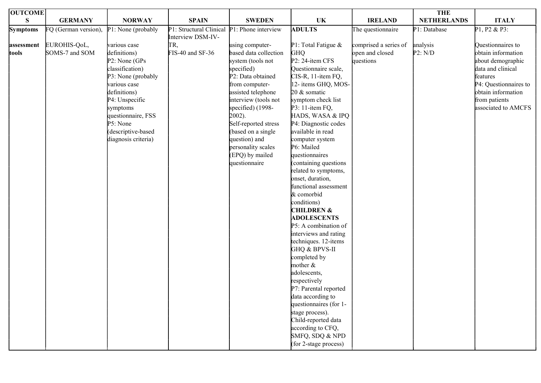| <b>OUTCOME</b>  |                      |                     |                                             |                       |                                            |                       | <b>THE</b>         |                       |
|-----------------|----------------------|---------------------|---------------------------------------------|-----------------------|--------------------------------------------|-----------------------|--------------------|-----------------------|
| S               | <b>GERMANY</b>       | <b>NORWAY</b>       | <b>SPAIN</b>                                | <b>SWEDEN</b>         | UK                                         | <b>IRELAND</b>        | <b>NETHERLANDS</b> | <b>ITALY</b>          |
| <b>Symptoms</b> | FQ (German version), | P1: None (probably  | P1: Structural Clinical P1: Phone interview |                       | <b>ADULTS</b>                              | The questionnaire     | P1: Database       | P1, P2 & P3:          |
|                 |                      |                     | Interview DSM-IV-                           |                       |                                            |                       |                    |                       |
| assessment      | EUROHIS-QoL,         | various case        | TR,                                         | using computer-       | P1: Total Fatigue &                        | comprised a series of | analysis           | Questionnaires to     |
| tools           | SOMS-7 and SOM       | definitions)        | FIS-40 and SF-36                            | based data collection | <b>GHQ</b>                                 | open and closed       | P2: N/D            | obtain information    |
|                 |                      | P2: None (GPs)      |                                             | system (tools not     | P2: 24-item CFS                            | questions             |                    | about demographic     |
|                 |                      | classification)     |                                             | specified)            | Questionnaire scale,                       |                       |                    | data and clinical     |
|                 |                      | P3: None (probably  |                                             | P2: Data obtained     | CIS-R, 11-item FQ,                         |                       |                    | features              |
|                 |                      | various case        |                                             | from computer-        | 12- items GHQ, MOS-                        |                       |                    | P4: Questionnaires to |
|                 |                      | definitions)        |                                             | assisted telephone    | 20 & somatic                               |                       |                    | obtain information    |
|                 |                      | P4: Unspecific      |                                             | interview (tools not  | symptom check list                         |                       |                    | from patients         |
|                 |                      | symptoms            |                                             | specified) (1998-     | P3: 11-item FQ,                            |                       |                    | associated to AMCFS   |
|                 |                      | questionnaire, FSS  |                                             | 2002).                | HADS, WASA & IPQ                           |                       |                    |                       |
|                 |                      | P5: None            |                                             | Self-reported stress  | P4: Diagnostic codes                       |                       |                    |                       |
|                 |                      | (descriptive-based  |                                             | (based on a single    | available in read                          |                       |                    |                       |
|                 |                      | diagnosis criteria) |                                             | question) and         | computer system                            |                       |                    |                       |
|                 |                      |                     |                                             | personality scales    | P6: Mailed                                 |                       |                    |                       |
|                 |                      |                     |                                             | (EPQ) by mailed       | questionnaires                             |                       |                    |                       |
|                 |                      |                     |                                             | questionnaire         | containing questions                       |                       |                    |                       |
|                 |                      |                     |                                             |                       | related to symptoms,                       |                       |                    |                       |
|                 |                      |                     |                                             |                       | onset, duration,                           |                       |                    |                       |
|                 |                      |                     |                                             |                       | functional assessment                      |                       |                    |                       |
|                 |                      |                     |                                             |                       | & comorbid                                 |                       |                    |                       |
|                 |                      |                     |                                             |                       | conditions)                                |                       |                    |                       |
|                 |                      |                     |                                             |                       | <b>CHILDREN &amp;</b>                      |                       |                    |                       |
|                 |                      |                     |                                             |                       | <b>ADOLESCENTS</b><br>P5: A combination of |                       |                    |                       |
|                 |                      |                     |                                             |                       | interviews and rating                      |                       |                    |                       |
|                 |                      |                     |                                             |                       | techniques. 12-items                       |                       |                    |                       |
|                 |                      |                     |                                             |                       | GHQ & BPVS-II                              |                       |                    |                       |
|                 |                      |                     |                                             |                       | completed by                               |                       |                    |                       |
|                 |                      |                     |                                             |                       | mother &                                   |                       |                    |                       |
|                 |                      |                     |                                             |                       | adolescents,                               |                       |                    |                       |
|                 |                      |                     |                                             |                       | respectively                               |                       |                    |                       |
|                 |                      |                     |                                             |                       | P7: Parental reported                      |                       |                    |                       |
|                 |                      |                     |                                             |                       | data according to                          |                       |                    |                       |
|                 |                      |                     |                                             |                       | questionnaires (for 1-                     |                       |                    |                       |
|                 |                      |                     |                                             |                       | stage process).                            |                       |                    |                       |
|                 |                      |                     |                                             |                       | Child-reported data                        |                       |                    |                       |
|                 |                      |                     |                                             |                       | according to CFQ,                          |                       |                    |                       |
|                 |                      |                     |                                             |                       | SMFQ, SDQ & NPD                            |                       |                    |                       |
|                 |                      |                     |                                             |                       | (for 2-stage process)                      |                       |                    |                       |
|                 |                      |                     |                                             |                       |                                            |                       |                    |                       |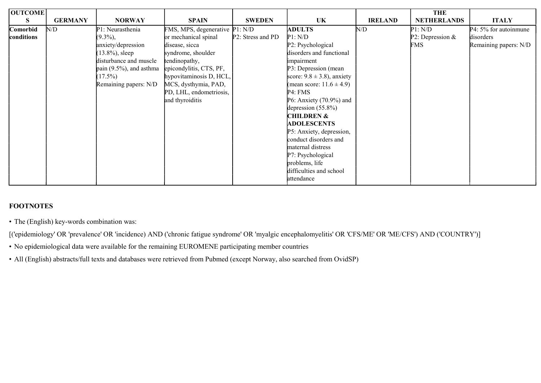| <b>OUTCOME</b> |                |                             |                                |                   |                                 |                | <b>THE</b>         |                       |
|----------------|----------------|-----------------------------|--------------------------------|-------------------|---------------------------------|----------------|--------------------|-----------------------|
| S              | <b>GERMANY</b> | <b>NORWAY</b>               | <b>SPAIN</b>                   | <b>SWEDEN</b>     | UK                              | <b>IRELAND</b> | <b>NETHERLANDS</b> | <b>ITALY</b>          |
| Comorbid       | N/D            | P1: Neurasthenia            | FMS, MPS, degenerative P1: N/D |                   | <b>ADULTS</b>                   | N/D            | P1: N/D            | P4: 5% for autoinmune |
| conditions     |                | $(9.3\%)$ ,                 | or mechanical spinal           | P2: Stress and PD | P1: N/D                         |                | P2: Depression $&$ | disorders             |
|                |                | anxiety/depression          | disease, sicca                 |                   | P2: Psychological               |                | <b>FMS</b>         | Remaining papers: N/D |
|                |                | $(13.8\%)$ , sleep          | syndrome, shoulder             |                   | disorders and functional        |                |                    |                       |
|                |                | disturbance and muscle      | tendinopathy,                  |                   | impairment                      |                |                    |                       |
|                |                | pain $(9.5\%)$ , and asthma | epicondylitis, CTS, PF,        |                   | P3: Depression (mean            |                |                    |                       |
|                |                | $(17.5\%)$                  | hypovitaminosis D, HCL,        |                   | score: $9.8 \pm 3.8$ ), anxiety |                |                    |                       |
|                |                | Remaining papers: N/D       | MCS, dysthymia, PAD,           |                   | (mean score: $11.6 \pm 4.9$ )   |                |                    |                       |
|                |                |                             | PD, LHL, endometriosis,        |                   | P4: FMS                         |                |                    |                       |
|                |                |                             | and thyroiditis                |                   | P6: Anxiety (70.9%) and         |                |                    |                       |
|                |                |                             |                                |                   | depression $(55.8\%)$           |                |                    |                       |
|                |                |                             |                                |                   | <b>CHILDREN &amp;</b>           |                |                    |                       |
|                |                |                             |                                |                   | <b>ADOLESCENTS</b>              |                |                    |                       |
|                |                |                             |                                |                   | P5: Anxiety, depression,        |                |                    |                       |
|                |                |                             |                                |                   | conduct disorders and           |                |                    |                       |
|                |                |                             |                                |                   | maternal distress               |                |                    |                       |
|                |                |                             |                                |                   | P7: Psychological               |                |                    |                       |
|                |                |                             |                                |                   | problems, life                  |                |                    |                       |
|                |                |                             |                                |                   | difficulties and school         |                |                    |                       |
|                |                |                             |                                |                   | attendance                      |                |                    |                       |

## FOOTNOTES

• The (English) key-words combination was:

[('epidemiology' OR 'prevalence' OR 'incidence) AND ('chronic fatigue syndrome' OR 'myalgic encephalomyelitis' OR 'CFS/ME' OR 'ME/CFS') AND ('COUNTRY')]

- No epidemiological data were available for the remaining EUROMENE participating member countries
- All (English) abstracts/full texts and databases were retrieved from Pubmed (except Norway, also searched from OvidSP)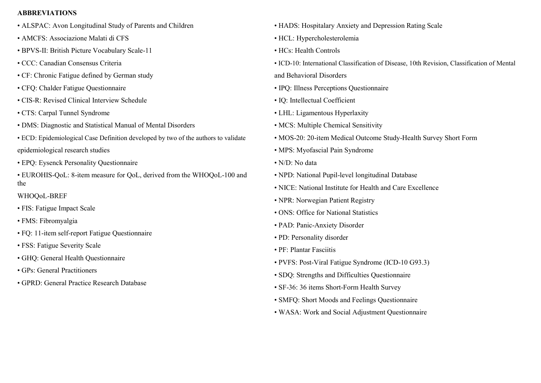#### ABBREVIATIONS

- ALSPAC: Avon Longitudinal Study of Parents and Children
- AMCFS: Associazione Malati di CFS
- BPVS-II: British Picture Vocabulary Scale-11
- CCC: Canadian Consensus Criteria
- CF: Chronic Fatigue defined by German study
- CFQ: Chalder Fatigue Questionnaire
- CIS-R: Revised Clinical Interview Schedule
- CTS: Carpal Tunnel Syndrome
- DMS: Diagnostic and Statistical Manual of Mental Disorders
- ECD: Epidemiological Case Definition developed by two of the authors to validate epidemiological research studies
- EPQ: Eysenck Personality Questionnaire
- EUROHIS-QoL: 8-item measure for QoL, derived from the WHOQoL-100 and the

## WHOQoL-BREF

- FIS: Fatigue Impact Scale
- FMS: Fibromyalgia
- FQ: 11-item self-report Fatigue Questionnaire
- FSS: Fatigue Severity Scale
- GHQ: General Health Questionnaire
- GPs: General Practitioners
- GPRD: General Practice Research Database
- HADS: Hospitalary Anxiety and Depression Rating Scale
- HCL: Hypercholesterolemia
- HCs: Health Controls
- ICD-10: International Classification of Disease, 10th Revision, Classification of Mental and Behavioral Disorders
- IPQ: Illness Perceptions Questionnaire
- IQ: Intellectual Coefficient
- LHL: Ligamentous Hyperlaxity
- MCS: Multiple Chemical Sensitivity
- MOS-20: 20-item Medical Outcome Study-Health Survey Short Form
- MPS: Myofascial Pain Syndrome
- N/D: No data
- NPD: National Pupil-level longitudinal Database
- NICE: National Institute for Health and Care Excellence
- NPR: Norwegian Patient Registry
- ONS: Office for National Statistics
- PAD: Panic-Anxiety Disorder
- PD: Personality disorder
- PF: Plantar Fasciitis
- PVFS: Post-Viral Fatigue Syndrome (ICD-10 G93.3)
- SDQ: Strengths and Difficulties Questionnaire
- SF-36: 36 items Short-Form Health Survey
- SMFQ: Short Moods and Feelings Questionnaire
- WASA: Work and Social Adjustment Questionnaire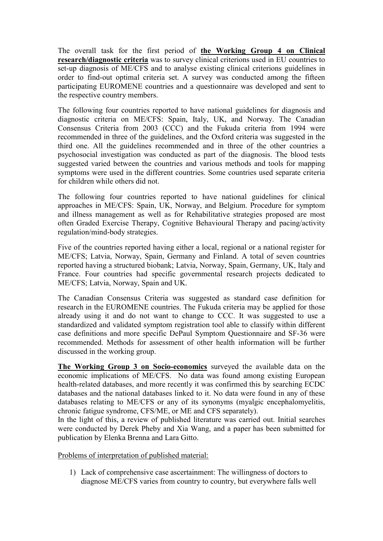The overall task for the first period of the Working Group 4 on Clinical research/diagnostic criteria was to survey clinical criterions used in EU countries to set-up diagnosis of ME/CFS and to analyse existing clinical criterions guidelines in order to find-out optimal criteria set. A survey was conducted among the fifteen participating EUROMENE countries and a questionnaire was developed and sent to the respective country members.

The following four countries reported to have national guidelines for diagnosis and diagnostic criteria on ME/CFS: Spain, Italy, UK, and Norway. The Canadian Consensus Criteria from 2003 (CCC) and the Fukuda criteria from 1994 were recommended in three of the guidelines, and the Oxford criteria was suggested in the third one. All the guidelines recommended and in three of the other countries a psychosocial investigation was conducted as part of the diagnosis. The blood tests suggested varied between the countries and various methods and tools for mapping symptoms were used in the different countries. Some countries used separate criteria for children while others did not.

The following four countries reported to have national guidelines for clinical approaches in ME/CFS: Spain, UK, Norway, and Belgium. Procedure for symptom and illness management as well as for Rehabilitative strategies proposed are most often Graded Exercise Therapy, Cognitive Behavioural Therapy and pacing/activity regulation/mind-body strategies.

Five of the countries reported having either a local, regional or a national register for ME/CFS; Latvia, Norway, Spain, Germany and Finland. A total of seven countries reported having a structured biobank; Latvia, Norway, Spain, Germany, UK, Italy and France. Four countries had specific governmental research projects dedicated to ME/CFS; Latvia, Norway, Spain and UK.

The Canadian Consensus Criteria was suggested as standard case definition for research in the EUROMENE countries. The Fukuda criteria may be applied for those already using it and do not want to change to CCC. It was suggested to use a standardized and validated symptom registration tool able to classify within different case definitions and more specific DePaul Symptom Questionnaire and SF-36 were recommended. Methods for assessment of other health information will be further discussed in the working group.

The Working Group 3 on Socio-economics surveyed the available data on the economic implications of ME/CFS. No data was found among existing European health-related databases, and more recently it was confirmed this by searching ECDC databases and the national databases linked to it. No data were found in any of these databases relating to ME/CFS or any of its synonyms (myalgic encephalomyelitis, chronic fatigue syndrome, CFS/ME, or ME and CFS separately).

In the light of this, a review of published literature was carried out. Initial searches were conducted by Derek Pheby and Xia Wang, and a paper has been submitted for publication by Elenka Brenna and Lara Gitto.

Problems of interpretation of published material:

1) Lack of comprehensive case ascertainment: The willingness of doctors to diagnose ME/CFS varies from country to country, but everywhere falls well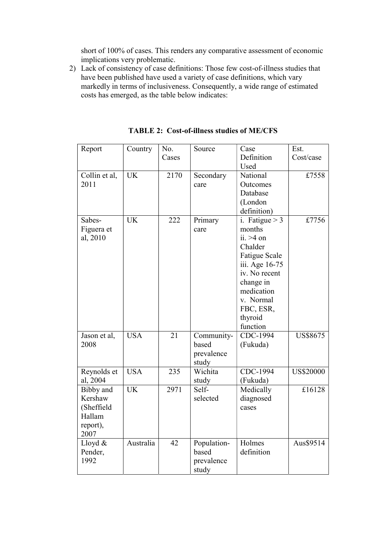short of 100% of cases. This renders any comparative assessment of economic implications very problematic.

2) Lack of consistency of case definitions: Those few cost-of-illness studies that have been published have used a variety of case definitions, which vary markedly in terms of inclusiveness. Consequently, a wide range of estimated costs has emerged, as the table below indicates:

| Report        | Country    | No.   | Source      | Case                 | Est.             |
|---------------|------------|-------|-------------|----------------------|------------------|
|               |            | Cases |             | Definition           | Cost/case        |
|               |            |       |             | Used                 |                  |
| Collin et al, | <b>UK</b>  | 2170  | Secondary   | National             | £7558            |
| 2011          |            |       | care        | Outcomes             |                  |
|               |            |       |             | Database             |                  |
|               |            |       |             | (London              |                  |
|               |            |       |             | definition)          |                  |
| Sabes-        | <b>UK</b>  | 222   | Primary     | i. Fatigue $> 3$     | £7756            |
| Figuera et    |            |       | care        | months               |                  |
| al, 2010      |            |       |             | $ii. >4$ on          |                  |
|               |            |       |             | Chalder              |                  |
|               |            |       |             | <b>Fatigue Scale</b> |                  |
|               |            |       |             | iii. Age 16-75       |                  |
|               |            |       |             | iv. No recent        |                  |
|               |            |       |             | change in            |                  |
|               |            |       |             | medication           |                  |
|               |            |       |             | v. Normal            |                  |
|               |            |       |             | FBC, ESR,            |                  |
|               |            |       |             | thyroid              |                  |
|               |            |       |             | function             |                  |
| Jason et al,  | <b>USA</b> | 21    | Community-  | CDC-1994             | <b>US\$8675</b>  |
| 2008          |            |       | based       | (Fukuda)             |                  |
|               |            |       | prevalence  |                      |                  |
|               |            |       | study       |                      |                  |
| Reynolds et   | <b>USA</b> | 235   | Wichita     | CDC-1994             | <b>US\$20000</b> |
| al, 2004      |            |       | study       | (Fukuda)             |                  |
| Bibby and     | <b>UK</b>  | 2971  | Self-       | Medically            | £16128           |
| Kershaw       |            |       | selected    | diagnosed            |                  |
| (Sheffield    |            |       |             | cases                |                  |
| Hallam        |            |       |             |                      |                  |
| report),      |            |       |             |                      |                  |
| 2007          |            |       |             |                      |                  |
| Lloyd &       | Australia  | 42    | Population- | Holmes               | Aus\$9514        |
| Pender,       |            |       | based       | definition           |                  |
| 1992          |            |       | prevalence  |                      |                  |
|               |            |       | study       |                      |                  |

TABLE 2: Cost-of-illness studies of ME/CFS